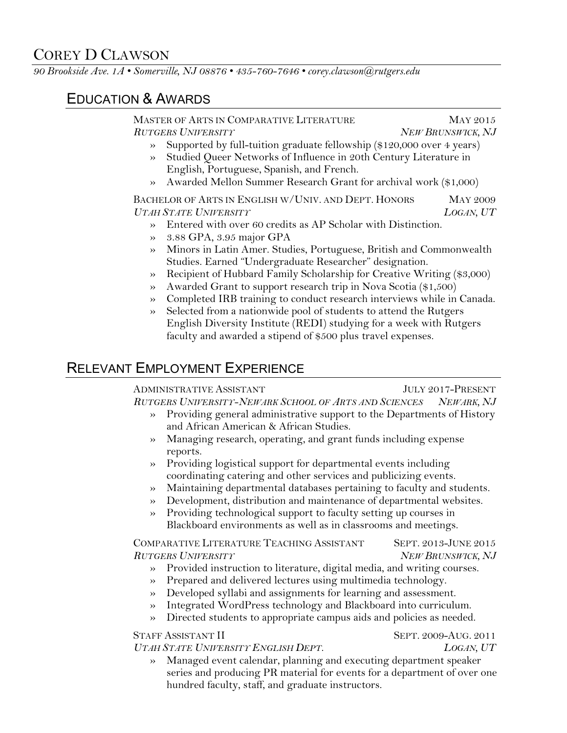# COREY D CLAWSON

*90 Brookside Ave. 1A • Somerville, NJ 08876 • 435-760-7646 • corey.clawson@rutgers.edu*

## EDUCATION & AWARDS

MASTER OF ARTS IN COMPARATIVE LITERATURE MAY 2015 *RUTGERS UNIVERSITY NEW BRUNSWICK, NJ*

- » Supported by full-tuition graduate fellowship (\$120,000 over 4 years) » Studied Queer Networks of Influence in 20th Century Literature in
- English, Portuguese, Spanish, and French.
- » Awarded Mellon Summer Research Grant for archival work (\$1,000)

BACHELOR OF ARTS IN ENGLISH W/UNIV. AND DEPT. HONORS MAY 2009 *UTAH STATE UNIVERSITY LOGAN, UT*

- » Entered with over 60 credits as AP Scholar with Distinction.
- » 3.88 GPA, 3.95 major GPA
- » Minors in Latin Amer. Studies, Portuguese, British and Commonwealth Studies. Earned "Undergraduate Researcher" designation.
- » Recipient of Hubbard Family Scholarship for Creative Writing (\$3,000)
- » Awarded Grant to support research trip in Nova Scotia (\$1,500)
- » Completed IRB training to conduct research interviews while in Canada.
- » Selected from a nationwide pool of students to attend the Rutgers English Diversity Institute (REDI) studying for a week with Rutgers faculty and awarded a stipend of \$500 plus travel expenses.

## RELEVANT EMPLOYMENT EXPERIENCE

ADMINISTRATIVE ASSISTANT **FOULY 2017-PRESENT** *RUTGERS UNIVERSITY-NEWARK SCHOOL OF ARTS AND SCIENCES NEWARK, NJ*

- » Providing general administrative support to the Departments of History and African American & African Studies.
- » Managing research, operating, and grant funds including expense reports.
- » Providing logistical support for departmental events including coordinating catering and other services and publicizing events.
- » Maintaining departmental databases pertaining to faculty and students.
- » Development, distribution and maintenance of departmental websites.
- » Providing technological support to faculty setting up courses in Blackboard environments as well as in classrooms and meetings.

COMPARATIVE LITERATURE TEACHING ASSISTANT SEPT. 2013-JUNE 2015 *RUTGERS UNIVERSITY NEW BRUNSWICK, NJ*

- » Provided instruction to literature, digital media, and writing courses.
- » Prepared and delivered lectures using multimedia technology.
- » Developed syllabi and assignments for learning and assessment.
- » Integrated WordPress technology and Blackboard into curriculum.
- » Directed students to appropriate campus aids and policies as needed.

## STAFF ASSISTANT II SEPT. 2009-AUG. 2011

- *UTAH STATE UNIVERSITY ENGLISH DEPT*. *LOGAN, UT*
	- » Managed event calendar, planning and executing department speaker series and producing PR material for events for a department of over one hundred faculty, staff, and graduate instructors.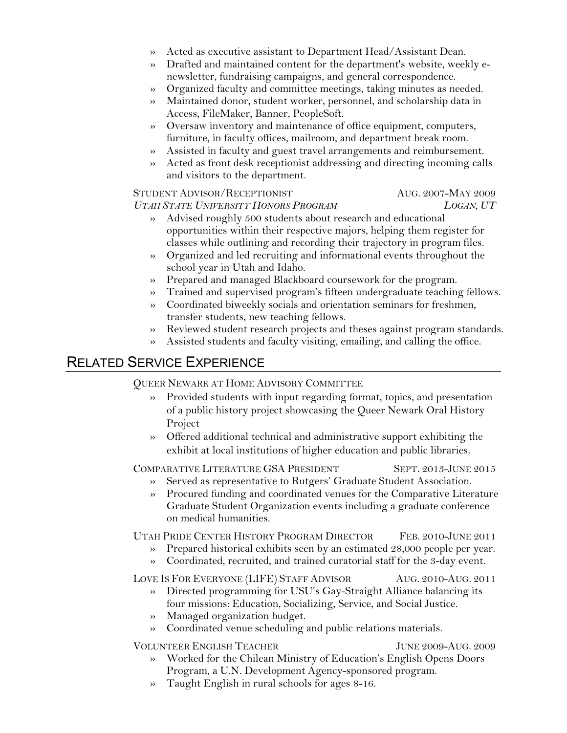- » Acted as executive assistant to Department Head/Assistant Dean.
- » Drafted and maintained content for the department's website, weekly enewsletter, fundraising campaigns, and general correspondence.
- » Organized faculty and committee meetings, taking minutes as needed.
- » Maintained donor, student worker, personnel, and scholarship data in Access, FileMaker, Banner, PeopleSoft.
- » Oversaw inventory and maintenance of office equipment, computers, furniture, in faculty offices, mailroom, and department break room.
- » Assisted in faculty and guest travel arrangements and reimbursement.
- Acted as front desk receptionist addressing and directing incoming calls and visitors to the department.

### STUDENT ADVISOR/RECEPTIONIST AUG. 2007-MAY 2009 *UTAH STATE UNIVERSITY HONORS PROGRAM LOGAN, UT*

- » Advised roughly 500 students about research and educational opportunities within their respective majors, helping them register for classes while outlining and recording their trajectory in program files.
- » Organized and led recruiting and informational events throughout the school year in Utah and Idaho.
- » Prepared and managed Blackboard coursework for the program.
- » Trained and supervised program's fifteen undergraduate teaching fellows.
- » Coordinated biweekly socials and orientation seminars for freshmen, transfer students, new teaching fellows.
- » Reviewed student research projects and theses against program standards.
- » Assisted students and faculty visiting, emailing, and calling the office.

## RELATED SERVICE EXPERIENCE

QUEER NEWARK AT HOME ADVISORY COMMITTEE

- » Provided students with input regarding format, topics, and presentation of a public history project showcasing the Queer Newark Oral History Project
- » Offered additional technical and administrative support exhibiting the exhibit at local institutions of higher education and public libraries.

COMPARATIVE LITERATURE GSA PRESIDENT SEPT. 2013-JUNE 2015

- Served as representative to Rutgers' Graduate Student Association.
- » Procured funding and coordinated venues for the Comparative Literature Graduate Student Organization events including a graduate conference on medical humanities.

UTAH PRIDE CENTER HISTORY PROGRAM DIRECTOR FEB. 2010-JUNE 2011

- » Prepared historical exhibits seen by an estimated 28,000 people per year.
- » Coordinated, recruited, and trained curatorial staff for the 3-day event.

LOVE IS FOR EVERYONE (LIFE) STAFF ADVISOR AUG. 2010-AUG. 2011

- » Directed programming for USU's Gay-Straight Alliance balancing its four missions: Education, Socializing, Service, and Social Justice.
- » Managed organization budget.
- » Coordinated venue scheduling and public relations materials.

VOLUNTEER ENGLISH TEACHER JUNE 2009-AUG. 2009

- » Worked for the Chilean Ministry of Education's English Opens Doors Program, a U.N. Development Agency-sponsored program.
- » Taught English in rural schools for ages 8-16.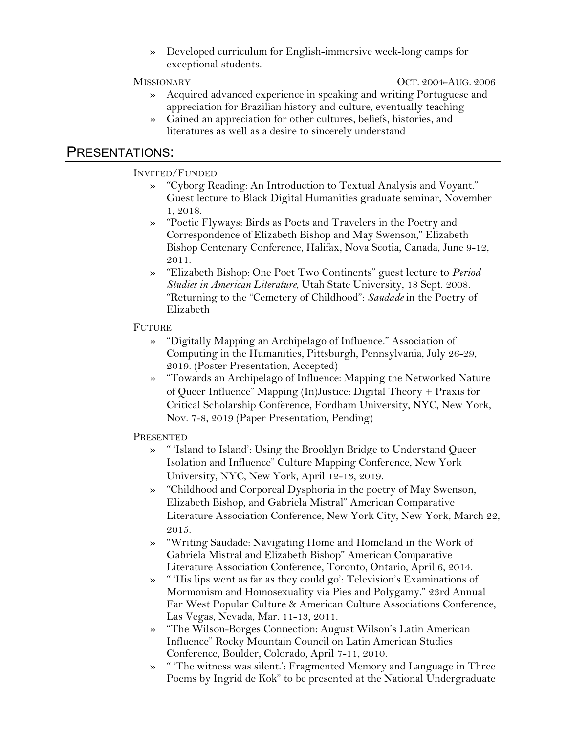» Developed curriculum for English-immersive week-long camps for exceptional students.

MISSIONARY OCT. 2004-AUG. 2006

- » Acquired advanced experience in speaking and writing Portuguese and appreciation for Brazilian history and culture, eventually teaching
- » Gained an appreciation for other cultures, beliefs, histories, and literatures as well as a desire to sincerely understand

### PRESENTATIONS:

### INVITED/FUNDED

- » "Cyborg Reading: An Introduction to Textual Analysis and Voyant." Guest lecture to Black Digital Humanities graduate seminar, November 1, 2018.
- » "Poetic Flyways: Birds as Poets and Travelers in the Poetry and Correspondence of Elizabeth Bishop and May Swenson," Elizabeth Bishop Centenary Conference, Halifax, Nova Scotia, Canada, June 9-12, 2011.
- » "Elizabeth Bishop: One Poet Two Continents" guest lecture to *Period Studies in American Literature*, Utah State University, 18 Sept. 2008. "Returning to the "Cemetery of Childhood": *Saudade* in the Poetry of Elizabeth

### **FUTURE**

- » "Digitally Mapping an Archipelago of Influence." Association of Computing in the Humanities, Pittsburgh, Pennsylvania, July 26-29, 2019. (Poster Presentation, Accepted)
- » "Towards an Archipelago of Influence: Mapping the Networked Nature of Queer Influence" Mapping (In)Justice: Digital Theory + Praxis for Critical Scholarship Conference, Fordham University, NYC, New York, Nov. 7-8, 2019 (Paper Presentation, Pending)

### **PRESENTED**

- » " 'Island to Island': Using the Brooklyn Bridge to Understand Queer Isolation and Influence" Culture Mapping Conference, New York University, NYC, New York, April 12-13, 2019.
- » "Childhood and Corporeal Dysphoria in the poetry of May Swenson, Elizabeth Bishop, and Gabriela Mistral" American Comparative Literature Association Conference, New York City, New York, March 22, 2015.
- » "Writing Saudade: Navigating Home and Homeland in the Work of Gabriela Mistral and Elizabeth Bishop" American Comparative Literature Association Conference, Toronto, Ontario, April 6, 2014.
- » " 'His lips went as far as they could go': Television's Examinations of Mormonism and Homosexuality via Pies and Polygamy." 23rd Annual Far West Popular Culture & American Culture Associations Conference, Las Vegas, Nevada, Mar. 11-13, 2011.
- » "The Wilson-Borges Connection: August Wilson's Latin American Influence" Rocky Mountain Council on Latin American Studies Conference, Boulder, Colorado, April 7-11, 2010.
- » " 'The witness was silent.': Fragmented Memory and Language in Three Poems by Ingrid de Kok" to be presented at the National Undergraduate